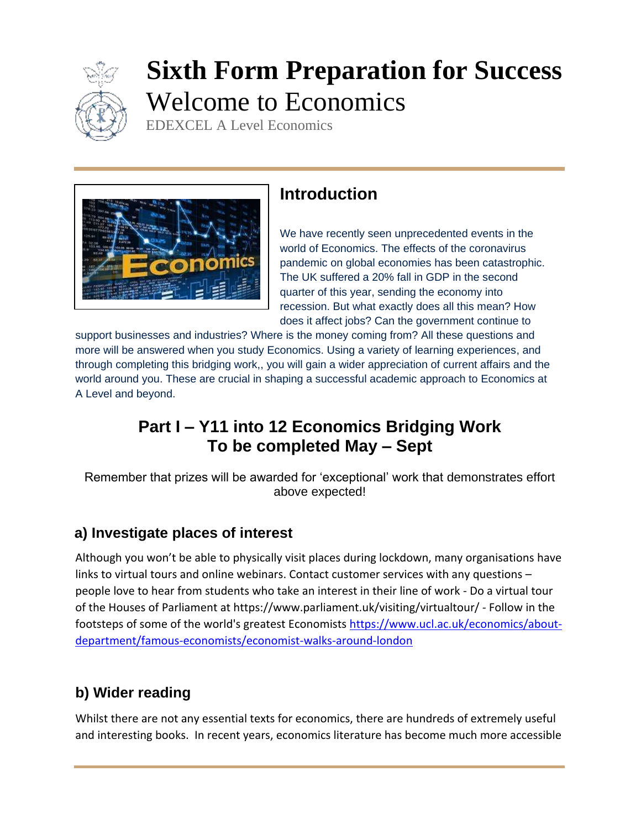

# **Sixth Form Preparation for Success** Welcome to Economics

EDEXCEL A Level Economics



## **Introduction**

We have recently seen unprecedented events in the world of Economics. The effects of the coronavirus pandemic on global economies has been catastrophic. The UK suffered a 20% fall in GDP in the second quarter of this year, sending the economy into recession. But what exactly does all this mean? How does it affect jobs? Can the government continue to

support businesses and industries? Where is the money coming from? All these questions and more will be answered when you study Economics. Using a variety of learning experiences, and through completing this bridging work,, you will gain a wider appreciation of current affairs and the world around you. These are crucial in shaping a successful academic approach to Economics at A Level and beyond.

# **Part I – Y11 into 12 Economics Bridging Work To be completed May – Sept**

Remember that prizes will be awarded for 'exceptional' work that demonstrates effort above expected!

## **a) Investigate places of interest**

Although you won't be able to physically visit places during lockdown, many organisations have links to virtual tours and online webinars. Contact customer services with any questions – people love to hear from students who take an interest in their line of work - Do a virtual tour of the Houses of Parliament at https://www.parliament.uk/visiting/virtualtour/ - Follow in the footsteps of some of the world's greatest Economists [https://www.ucl.ac.uk/economics/about](https://www.ucl.ac.uk/economics/about-department/famous-economists/economist-walks-around-london)[department/famous-economists/economist-walks-around-london](https://www.ucl.ac.uk/economics/about-department/famous-economists/economist-walks-around-london)

## **b) Wider reading**

Whilst there are not any essential texts for economics, there are hundreds of extremely useful and interesting books. In recent years, economics literature has become much more accessible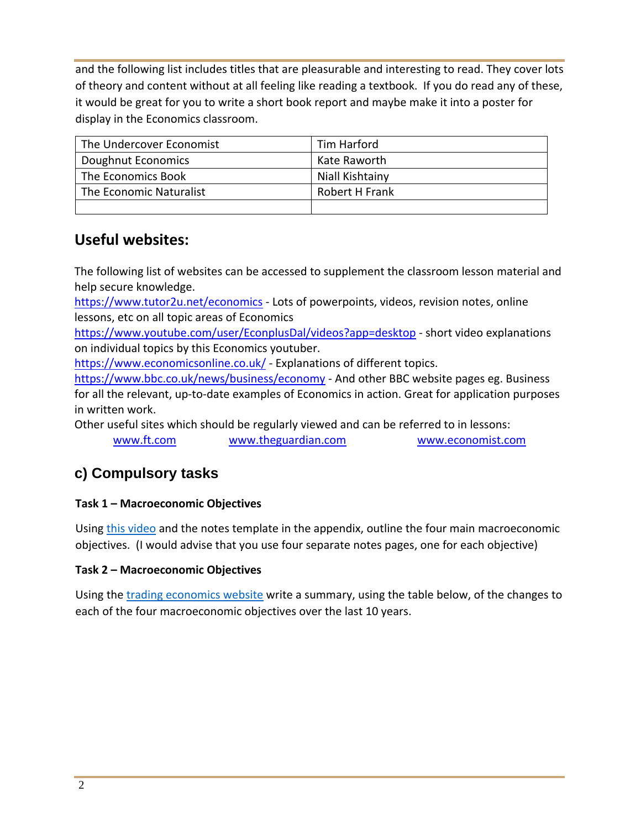and the following list includes titles that are pleasurable and interesting to read. They cover lots of theory and content without at all feeling like reading a textbook. If you do read any of these, it would be great for you to write a short book report and maybe make it into a poster for display in the Economics classroom.

| The Undercover Economist | Tim Harford     |
|--------------------------|-----------------|
| Doughnut Economics       | Kate Raworth    |
| The Economics Book       | Niall Kishtainy |
| The Economic Naturalist  | Robert H Frank  |
|                          |                 |

### **Useful websites:**

The following list of websites can be accessed to supplement the classroom lesson material and help secure knowledge.

<https://www.tutor2u.net/economics> - Lots of powerpoints, videos, revision notes, online lessons, etc on all topic areas of Economics

<https://www.youtube.com/user/EconplusDal/videos?app=desktop> - short video explanations on individual topics by this Economics youtuber.

<https://www.economicsonline.co.uk/> - Explanations of different topics.

<https://www.bbc.co.uk/news/business/economy> - And other BBC website pages eg. Business for all the relevant, up-to-date examples of Economics in action. Great for application purposes in written work.

Other useful sites which should be regularly viewed and can be referred to in lessons:

[www.ft.com](http://www.ft.com/) [www.theguardian.com](http://www.theguardian.com/) [www.economist.com](http://www.economist.com/)

## **c) Compulsory tasks**

#### **Task 1 – Macroeconomic Objectives**

Using [this video](https://www.tutor2u.net/economics/reference/macroeconomic-objectives-and-macro-stability) and the notes template in the appendix, outline the four main macroeconomic objectives. (I would advise that you use four separate notes pages, one for each objective)

#### **Task 2 – Macroeconomic Objectives**

Using the [trading economics website](https://tradingeconomics.com/united-kingdom/indicators) write a summary, using the table below, of the changes to each of the four macroeconomic objectives over the last 10 years.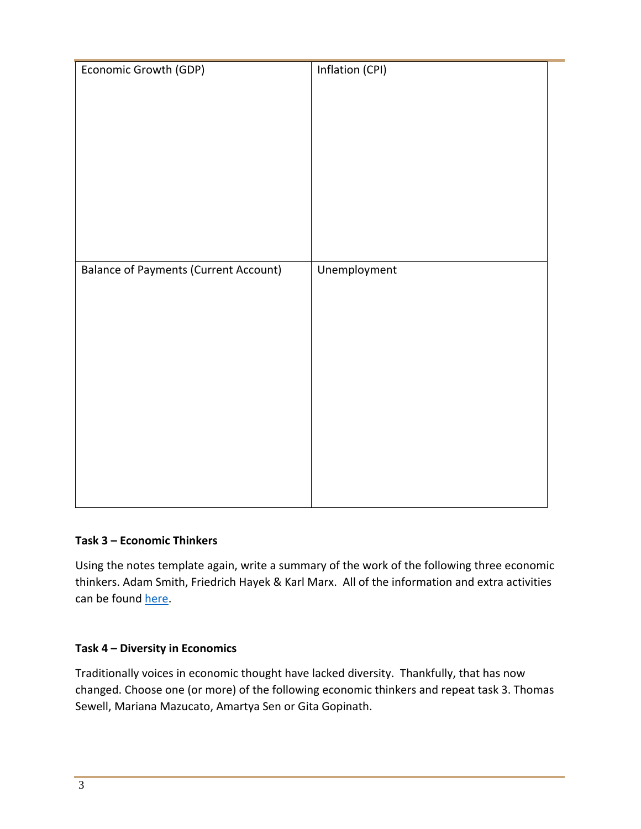| Economic Growth (GDP)                        | Inflation (CPI) |
|----------------------------------------------|-----------------|
|                                              |                 |
|                                              |                 |
|                                              |                 |
|                                              |                 |
|                                              |                 |
|                                              |                 |
|                                              |                 |
|                                              |                 |
| <b>Balance of Payments (Current Account)</b> | Unemployment    |
|                                              |                 |
|                                              |                 |
|                                              |                 |
|                                              |                 |
|                                              |                 |
|                                              |                 |
|                                              |                 |
|                                              |                 |
|                                              |                 |
|                                              |                 |
|                                              |                 |

#### **Task 3 – Economic Thinkers**

Using the notes template again, write a summary of the work of the following three economic thinkers. Adam Smith, Friedrich Hayek & Karl Marx. All of the information and extra activities can be found [here.](https://qualifications.pearson.com/content/dam/pdf/A%20Level/Economics/2015/teaching-and-learning-materials/Economic-thinkers-Theme-1-updated.pdf)

#### **Task 4 – Diversity in Economics**

Traditionally voices in economic thought have lacked diversity. Thankfully, that has now changed. Choose one (or more) of the following economic thinkers and repeat task 3. Thomas Sewell, Mariana Mazucato, Amartya Sen or Gita Gopinath.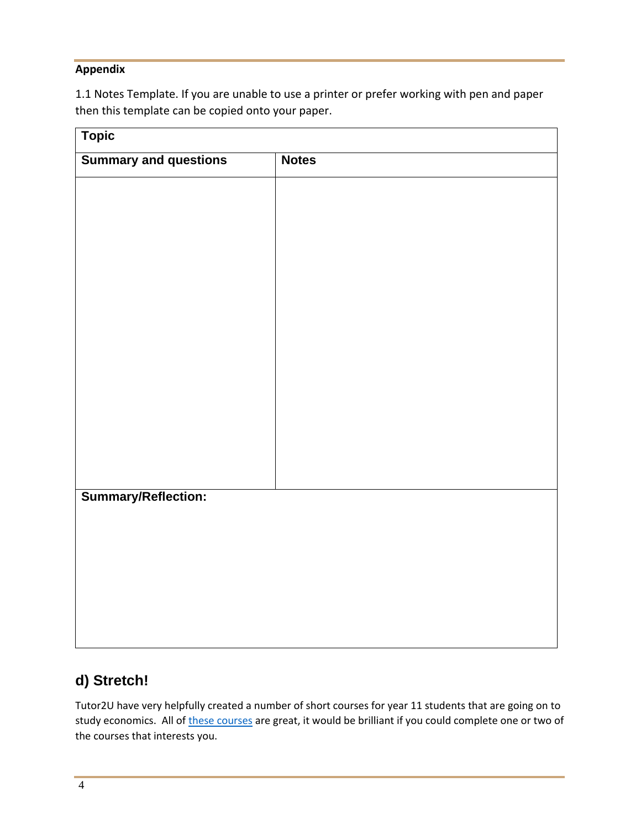#### **Appendix**

1.1 Notes Template. If you are unable to use a printer or prefer working with pen and paper then this template can be copied onto your paper.

| <b>Topic</b>                 |              |
|------------------------------|--------------|
| <b>Summary and questions</b> | <b>Notes</b> |
|                              |              |
|                              |              |
|                              |              |
|                              |              |
|                              |              |
|                              |              |
|                              |              |
|                              |              |
|                              |              |
|                              |              |
|                              |              |
|                              |              |
|                              |              |
| Summary/Reflection:          |              |
|                              |              |
|                              |              |
|                              |              |
|                              |              |
|                              |              |

## **d) Stretch!**

Tutor2U have very helpfully created a number of short courses for year 11 students that are going on to study economics. All of [these courses](https://www.tutor2u.net/economics/collections/head-start-for-alevel-economics-transition-resource-year-11-students) are great, it would be brilliant if you could complete one or two of the courses that interests you.